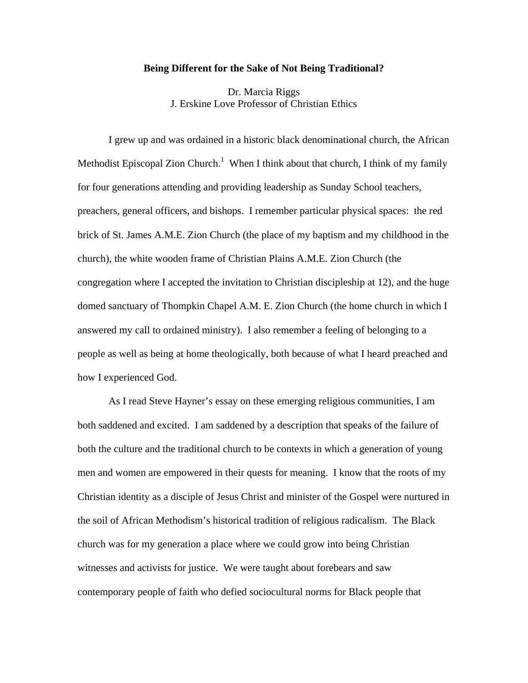## **Being Different for the Sake of Not Being Traditional?**

Dr. Marcia Riggs J. Erskine Love Professor of Christian Ethics

 I grew up and was ordained in a historic black denominational church, the African Methodist Episcopal Zion Church.<sup>1</sup> When I think about that church, I think of my family for four generations attending and providing leadership as Sunday School teachers, preachers, general officers, and bishops. I remember particular physical spaces: the red brick of St. James A.M.E. Zion Church (the place of my baptism and my childhood in the church), the white wooden frame of Christian Plains A.M.E. Zion Church (the congregation where I accepted the invitation to Christian discipleship at 12), and the huge domed sanctuary of Thompkin Chapel A.M. E. Zion Church (the home church in which I answered my call to ordained ministry). I also remember a feeling of belonging to a people as well as being at home theologically, both because of what I heard preached and how I experienced God.

 As I read Steve Hayner's essay on these emerging religious communities, I am both saddened and excited. I am saddened by a description that speaks of the failure of both the culture and the traditional church to be contexts in which a generation of young men and women are empowered in their quests for meaning. I know that the roots of my Christian identity as a disciple of Jesus Christ and minister of the Gospel were nurtured in the soil of African Methodism's historical tradition of religious radicalism. The Black church was for my generation a place where we could grow into being Christian witnesses and activists for justice. We were taught about forebears and saw contemporary people of faith who defied sociocultural norms for Black people that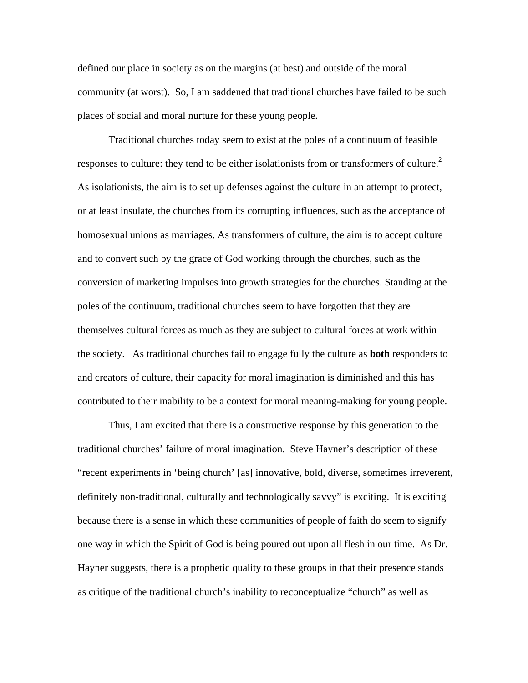defined our place in society as on the margins (at best) and outside of the moral community (at worst). So, I am saddened that traditional churches have failed to be such places of social and moral nurture for these young people.

 Traditional churches today seem to exist at the poles of a continuum of feasible responses to culture: they tend to be either isolationists from or transformers of culture.<sup>2</sup> As isolationists, the aim is to set up defenses against the culture in an attempt to protect, or at least insulate, the churches from its corrupting influences, such as the acceptance of homosexual unions as marriages. As transformers of culture, the aim is to accept culture and to convert such by the grace of God working through the churches, such as the conversion of marketing impulses into growth strategies for the churches. Standing at the poles of the continuum, traditional churches seem to have forgotten that they are themselves cultural forces as much as they are subject to cultural forces at work within the society. As traditional churches fail to engage fully the culture as **both** responders to and creators of culture, their capacity for moral imagination is diminished and this has contributed to their inability to be a context for moral meaning-making for young people.

 Thus, I am excited that there is a constructive response by this generation to the traditional churches' failure of moral imagination. Steve Hayner's description of these "recent experiments in 'being church' [as] innovative, bold, diverse, sometimes irreverent, definitely non-traditional, culturally and technologically savvy" is exciting. It is exciting because there is a sense in which these communities of people of faith do seem to signify one way in which the Spirit of God is being poured out upon all flesh in our time. As Dr. Hayner suggests, there is a prophetic quality to these groups in that their presence stands as critique of the traditional church's inability to reconceptualize "church" as well as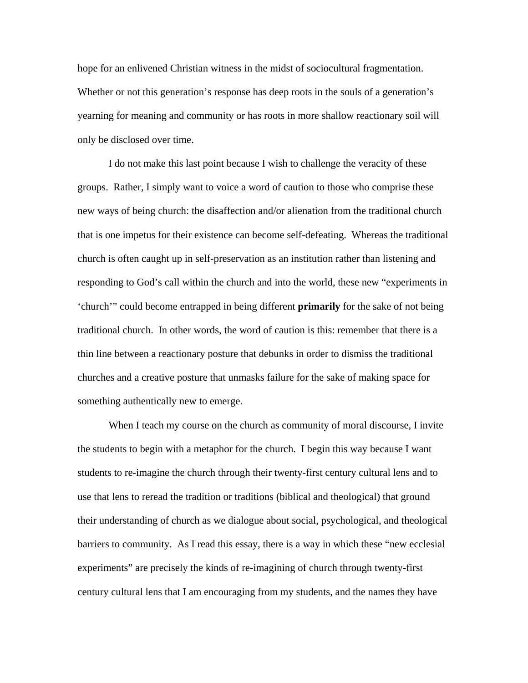hope for an enlivened Christian witness in the midst of sociocultural fragmentation. Whether or not this generation's response has deep roots in the souls of a generation's yearning for meaning and community or has roots in more shallow reactionary soil will only be disclosed over time.

 I do not make this last point because I wish to challenge the veracity of these groups. Rather, I simply want to voice a word of caution to those who comprise these new ways of being church: the disaffection and/or alienation from the traditional church that is one impetus for their existence can become self-defeating. Whereas the traditional church is often caught up in self-preservation as an institution rather than listening and responding to God's call within the church and into the world, these new "experiments in 'church'" could become entrapped in being different **primarily** for the sake of not being traditional church. In other words, the word of caution is this: remember that there is a thin line between a reactionary posture that debunks in order to dismiss the traditional churches and a creative posture that unmasks failure for the sake of making space for something authentically new to emerge.

When I teach my course on the church as community of moral discourse, I invite the students to begin with a metaphor for the church. I begin this way because I want students to re-imagine the church through their twenty-first century cultural lens and to use that lens to reread the tradition or traditions (biblical and theological) that ground their understanding of church as we dialogue about social, psychological, and theological barriers to community. As I read this essay, there is a way in which these "new ecclesial experiments" are precisely the kinds of re-imagining of church through twenty-first century cultural lens that I am encouraging from my students, and the names they have